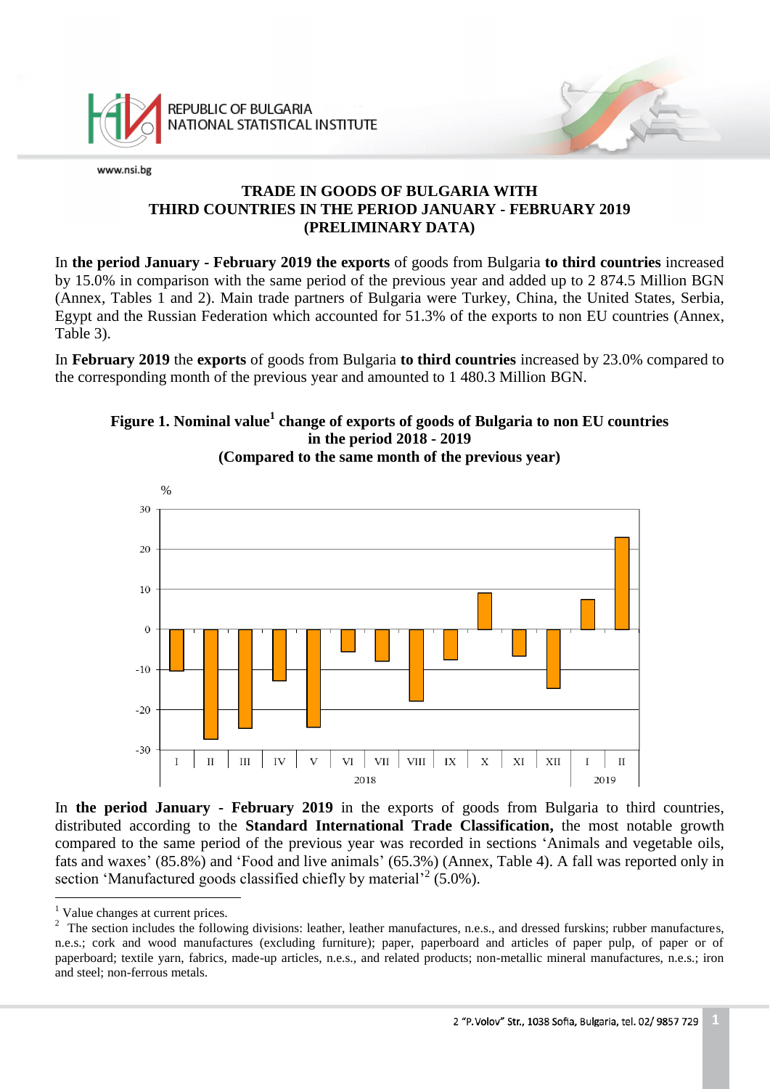

## **TRADE IN GOODS OF BULGARIA WITH THIRD COUNTRIES IN THE PERIOD JANUARY - FEBRUARY 2019 (PRELIMINARY DATA)**

In **the period January - February 2019 the exports** of goods from Bulgaria **to third countries** increased by 15.0% in comparison with the same period of the previous year and added up to 2 874.5 Million BGN (Annex, Tables 1 and 2). Main trade partners of Bulgaria were Turkey, China, the United States, Serbia, Egypt and the Russian Federation which accounted for 51.3% of the exports to non EU countries (Annex, Table 3).

In **February 2019** the **exports** of goods from Bulgaria **to third countries** increased by 23.0% compared to the corresponding month of the previous year and amounted to 1 480.3 Million BGN.

### **Figure 1. Nominal value<sup>1</sup> change of exports of goods of Bulgaria to non EU countries in the period 2018 - 2019 (Compared to the same month of the previous year)**



In **the period January - February 2019** in the exports of goods from Bulgaria to third countries, distributed according to the **Standard International Trade Classification,** the most notable growth compared to the same period of the previous year was recorded in sections 'Animals and vegetable oils, fats and waxes' (85.8%) and 'Food and live animals' (65.3%) (Annex, Table 4). A fall was reported only in section 'Manufactured goods classified chiefly by material'<sup>2</sup> (5.0%).

a<br>B

<sup>&</sup>lt;sup>1</sup> Value changes at current prices.

<sup>&</sup>lt;sup>2</sup> The section includes the following divisions: leather, leather manufactures, n.e.s., and dressed furskins; rubber manufactures, n.e.s.; cork and wood manufactures (excluding furniture); paper, paperboard and articles of paper pulp, of paper or of paperboard; textile yarn, fabrics, made-up articles, n.e.s., and related products; non-metallic mineral manufactures, n.e.s.; iron and steel; non-ferrous metals.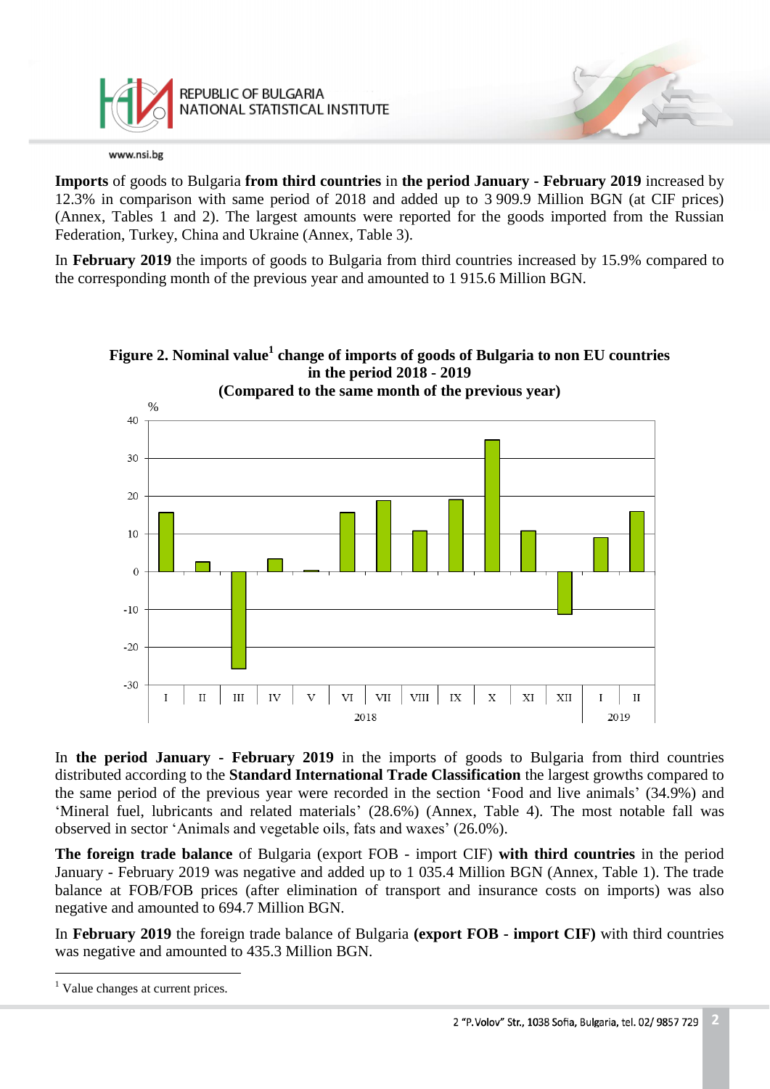

**Imports** of goods to Bulgaria **from third countries** in **the period January - February 2019** increased by 12.3% in comparison with same period of 2018 and added up to 3 909.9 Million BGN (at CIF prices) (Annex, Tables 1 and 2). The largest amounts were reported for the goods imported from the Russian Federation, Turkey, China and Ukraine (Annex, Table 3).

In **February 2019** the imports of goods to Bulgaria from third countries increased by 15.9% compared to the corresponding month of the previous year and amounted to 1 915.6 Million BGN.



**Figure 2. Nominal value<sup>1</sup> change of imports of goods of Bulgaria to non EU countries in the period 2018 - 2019**

In **the period January - February 2019** in the imports of goods to Bulgaria from third countries distributed according to the **Standard International Trade Classification** the largest growths compared to the same period of the previous year were recorded in the section 'Food and live animals' (34.9%) and 'Mineral fuel, lubricants and related materials' (28.6%) (Annex, Table 4). The most notable fall was observed in sector 'Animals and vegetable oils, fats and waxes' (26.0%).

**The foreign trade balance** of Bulgaria (export FOB - import CIF) **with third countries** in the period January - February 2019 was negative and added up to 1 035.4 Million BGN (Annex, Table 1). The trade balance at FOB/FOB prices (after elimination of transport and insurance costs on imports) was also negative and amounted to 694.7 Million BGN.

In **February 2019** the foreign trade balance of Bulgaria **(export FOB - import CIF)** with third countries was negative and amounted to 435.3 Million BGN.

a<br>B

<sup>&</sup>lt;sup>1</sup> Value changes at current prices.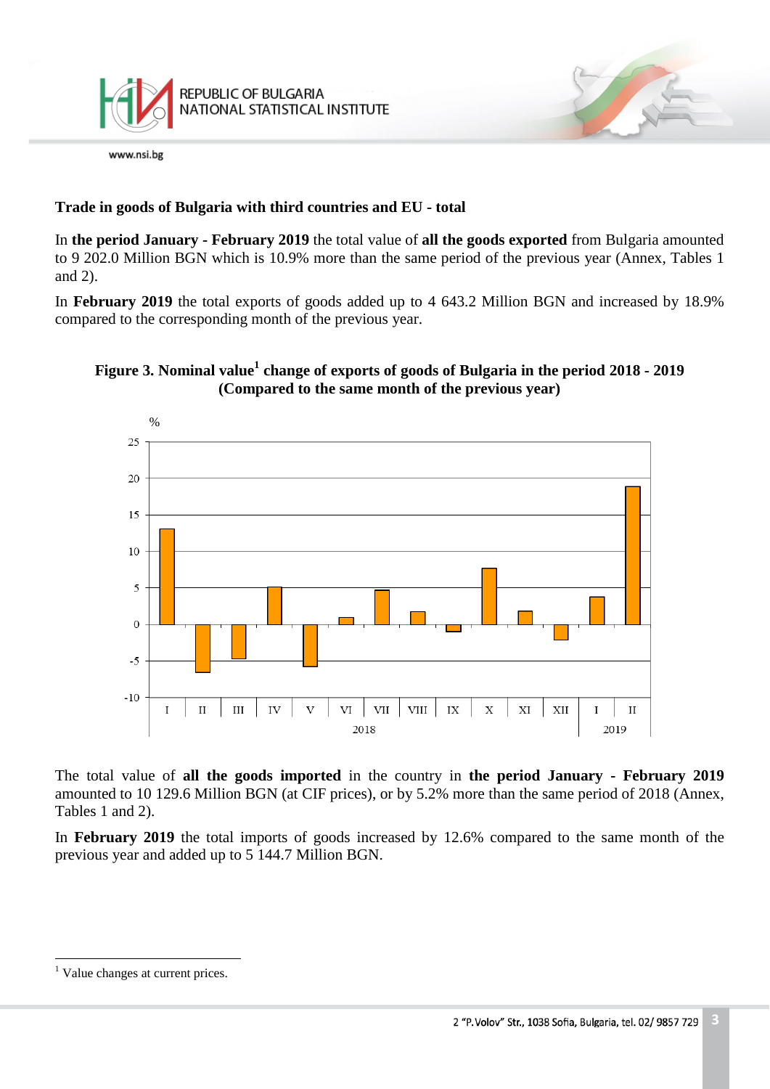

## **Trade in goods of Bulgaria with third countries and EU - total**

In **the period January - February 2019** the total value of **all the goods exported** from Bulgaria amounted to 9 202.0 Million BGN which is 10.9% more than the same period of the previous year (Annex, Tables 1 and 2).

In **February 2019** the total exports of goods added up to 4 643.2 Million BGN and increased by 18.9% compared to the corresponding month of the previous year.

# **Figure 3. Nominal value<sup>1</sup> change of exports of goods of Bulgaria in the period 2018 - 2019 (Compared to the same month of the previous year)**



The total value of **all the goods imported** in the country in **the period January - February 2019** amounted to 10 129.6 Million BGN (at CIF prices), or by 5.2% more than the same period of 2018 (Annex, Tables 1 and 2).

In **February 2019** the total imports of goods increased by 12.6% compared to the same month of the previous year and added up to 5 144.7 Million BGN.

L,

<sup>&</sup>lt;sup>1</sup> Value changes at current prices.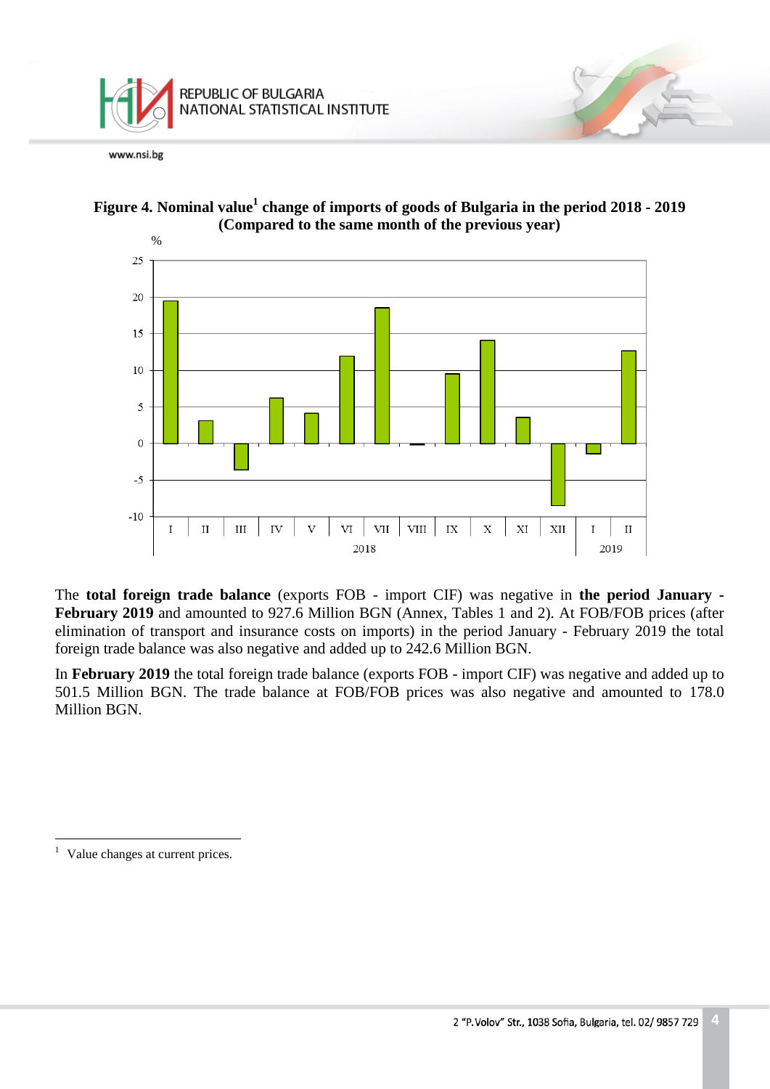





The **total foreign trade balance** (exports FOB - import CIF) was negative in **the period January - February 2019** and amounted to 927.6 Million BGN (Annex, Tables 1 and 2). At FOB/FOB prices (after elimination of transport and insurance costs on imports) in the period January - February 2019 the total foreign trade balance was also negative and added up to 242.6 Million BGN.

In **February 2019** the total foreign trade balance (exports FOB - import CIF) was negative and added up to 501.5 Million BGN. The trade balance at FOB/FOB prices was also negative and amounted to 178.0 Million BGN.

a<br>B

<sup>&</sup>lt;sup>1</sup> Value changes at current prices.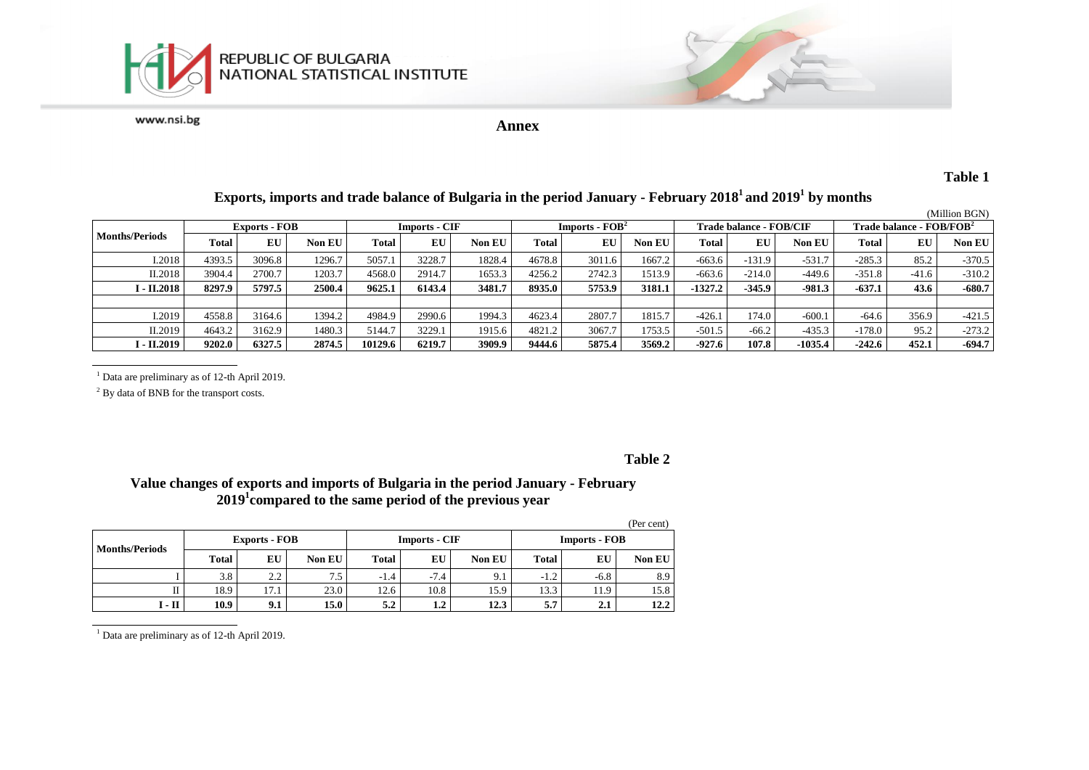



**Annex**

#### **Table 1**

#### **Exports, imports and trade balance of Bulgaria in the period January - February 2018<sup>1</sup>and 2019<sup>1</sup> by months**

|                       |                      |        |               |                      |        |        |                  |        |        |                         |          |           |                            |         | (Million BGN) |
|-----------------------|----------------------|--------|---------------|----------------------|--------|--------|------------------|--------|--------|-------------------------|----------|-----------|----------------------------|---------|---------------|
|                       | <b>Exports - FOB</b> |        |               | <b>Imports - CIF</b> |        |        | $Imports - FOB2$ |        |        | Trade balance - FOB/CIF |          |           | Trade balance - $FOB/FOB2$ |         |               |
| <b>Months/Periods</b> | Total                | EU     | <b>Non EU</b> | <b>Total</b>         | EU     | Non EU | Total            | EU     | Non EU | Total                   | EU       | Non EU    | <b>Total</b>               | EU      | <b>Non EU</b> |
| I.2018                | 4393.5               | 3096.8 | 1296.7        | 5057.1               | 3228.7 | 1828.4 | 4678.8           | 3011.6 | 1667.2 | $-663.6$                | $-131.9$ | $-531.7$  | $-285.3$                   | 85.2    | $-370.5$      |
| II.2018               | 3904.4               | 2700.7 | 1203.7        | 4568.0               | 2914.7 | 1653.3 | 4256.2           | 2742.3 | 1513.9 | $-663.6$                | $-214.0$ | -449.6    | $-351.8$                   | $-41.6$ | $-310.2$      |
| І - П.2018            | 8297.9               | 5797.5 | 2500.4        | 9625.1               | 6143.4 | 3481.7 | 8935.0           | 5753.9 | 3181.1 | $-1327.2$               | $-345.9$ | $-981.3$  | $-637.1$                   | 43.6    | $-680.7$      |
|                       |                      |        |               |                      |        |        |                  |        |        |                         |          |           |                            |         |               |
| I.2019                | 4558.8               | 3164.6 | 1394.2        | 4984.9               | 2990.6 | 1994.3 | 4623.4           | 2807.7 | 1815.7 | $-426.1$                | 174.0    | $-600.1$  | $-64.6$                    | 356.9   | $-421.5$      |
| II.2019               | 4643.2               | 3162.9 | 1480.3        | 5144.7               | 3229.1 | 1915.6 | 4821.2           | 3067.7 | 1753.5 | $-501.5$                | $-66.2$  | $-435.3$  | $-178.0$                   | 95.2    | $-273.2$      |
| I - II.2019           | 9202.0               | 6327.5 | 2874.5        | 10129.6              | 6219.7 | 3909.9 | 9444.6           | 5875.4 | 3569.2 | $-927.6$                | 107.8    | $-1035.4$ | $-242.6$                   | 452.1   | $-694.7$      |

<sup>1</sup> Data are preliminary as of 12-th April 2019.

<sup>2</sup> By data of BNB for the transport costs.

#### **Table 2**

### **Value changes of exports and imports of Bulgaria in the period January - February 2019<sup>1</sup> compared to the same period of the previous year**

|                       |              |                      |        |        |                      |               |                      |        | (Per cent)    |  |
|-----------------------|--------------|----------------------|--------|--------|----------------------|---------------|----------------------|--------|---------------|--|
| <b>Months/Periods</b> |              | <b>Exports - FOB</b> |        |        | <b>Imports - CIF</b> |               | <b>Imports - FOB</b> |        |               |  |
|                       | <b>Total</b> | EU                   | Non EU | Total  | EU                   | <b>Non EU</b> | <b>Total</b>         | EU     | <b>Non EU</b> |  |
|                       | 3.8          | 2.2                  | 7.5    | $-1.4$ | $-7.4$               | 9.1           | $-1.2$               | $-6.8$ | 8.9           |  |
| П                     | 18.9         | 17.1                 | 23.0   | 12.6   | 10.8                 | 15.9          | 13.3                 | 11.9   | 15.8          |  |
| I - II                | 10.9         | 9.1                  | 15.0   | 5.2    | 1.2                  | 12.3          | 5.7                  | 2.1    | 12.2          |  |

<sup>1</sup> Data are preliminary as of 12-th April 2019.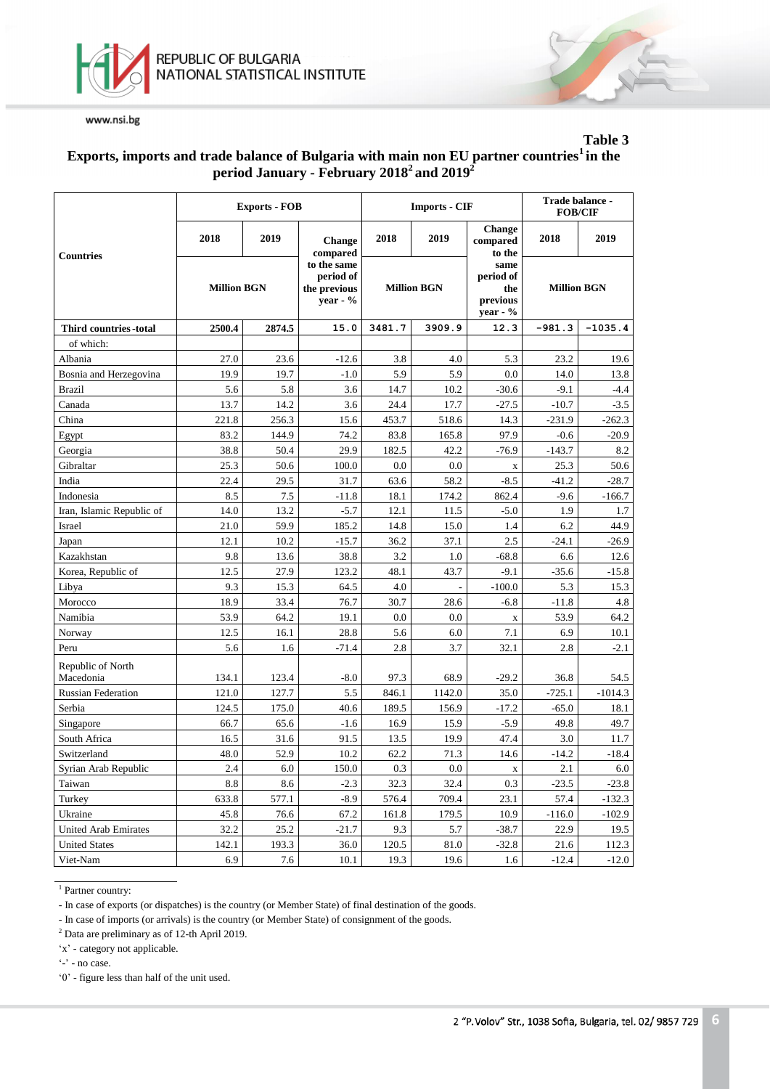



**Table 3**

### **Exports, imports and trade balance of Bulgaria with main non EU partner countries<sup>1</sup>in the period January - February 2018<sup>2</sup>and 2019<sup>2</sup>**

|                                |                    | <b>Exports - FOB</b> |                                                         |                    | <b>Imports - CIF</b> | Trade balance -<br><b>FOB/CIF</b>                   |                    |           |
|--------------------------------|--------------------|----------------------|---------------------------------------------------------|--------------------|----------------------|-----------------------------------------------------|--------------------|-----------|
| <b>Countries</b>               | 2018               | 2019                 | <b>Change</b><br>compared                               | 2018               | 2019                 | Change<br>compared<br>to the                        | 2018               | 2019      |
|                                | <b>Million BGN</b> |                      | to the same<br>period of<br>the previous<br>year - $\%$ | <b>Million BGN</b> |                      | same<br>period of<br>the<br>previous<br>year - $\%$ | <b>Million BGN</b> |           |
| Third countries -total         | 2500.4             | 2874.5               | 15.0                                                    | 3481.7             | 3909.9               | 12.3                                                | $-981.3$           | $-1035.4$ |
| of which:                      |                    |                      |                                                         |                    |                      |                                                     |                    |           |
| Albania                        | 27.0               | 23.6                 | $-12.6$                                                 | 3.8                | 4.0                  | 5.3                                                 | 23.2               | 19.6      |
| Bosnia and Herzegovina         | 19.9               | 19.7                 | $-1.0$                                                  | 5.9                | 5.9                  | 0.0                                                 | 14.0               | 13.8      |
| <b>Brazil</b>                  | 5.6                | 5.8                  | 3.6                                                     | 14.7               | 10.2                 | $-30.6$                                             | $-9.1$             | $-4.4$    |
| Canada                         | 13.7               | 14.2                 | 3.6                                                     | 24.4               | 17.7                 | $-27.5$                                             | $-10.7$            | $-3.5$    |
| China                          | 221.8              | 256.3                | 15.6                                                    | 453.7              | 518.6                | 14.3                                                | $-231.9$           | $-262.3$  |
| Egypt                          | 83.2               | 144.9                | 74.2                                                    | 83.8               | 165.8                | 97.9                                                | $-0.6$             | $-20.9$   |
| Georgia                        | 38.8               | 50.4                 | 29.9                                                    | 182.5              | 42.2                 | $-76.9$                                             | $-143.7$           | 8.2       |
| Gibraltar                      | 25.3               | 50.6                 | 100.0                                                   | 0.0                | 0.0                  | $\mathbf X$                                         | 25.3               | 50.6      |
| India                          | 22.4               | 29.5                 | 31.7                                                    | 63.6               | 58.2                 | $-8.5$                                              | $-41.2$            | $-28.7$   |
| Indonesia                      | 8.5                | 7.5                  | $-11.8$                                                 | 18.1               | 174.2                | 862.4                                               | $-9.6$             | $-166.7$  |
| Iran, Islamic Republic of      | 14.0               | 13.2                 | $-5.7$                                                  | 12.1               | 11.5                 | $-5.0$                                              | 1.9                | 1.7       |
| Israel                         | 21.0               | 59.9                 | 185.2                                                   | 14.8               | 15.0                 | 1.4                                                 | 6.2                | 44.9      |
| Japan                          | 12.1               | 10.2                 | $-15.7$                                                 | 36.2               | 37.1                 | 2.5                                                 | $-24.1$            | $-26.9$   |
| Kazakhstan                     | 9.8                | 13.6                 | 38.8                                                    | 3.2                | 1.0                  | $-68.8$                                             | 6.6                | 12.6      |
| Korea, Republic of             | 12.5               | 27.9                 | 123.2                                                   | 48.1               | 43.7                 | $-9.1$                                              | $-35.6$            | $-15.8$   |
| Libya                          | 9.3                | 15.3                 | 64.5                                                    | 4.0                |                      | $-100.0$                                            | 5.3                | 15.3      |
| Morocco                        | 18.9               | 33.4                 | 76.7                                                    | 30.7               | 28.6                 | $-6.8$                                              | $-11.8$            | 4.8       |
| Namibia                        | 53.9               | 64.2                 | 19.1                                                    | 0.0                | 0.0                  | $\mathbf X$                                         | 53.9               | 64.2      |
| Norway                         | 12.5               | 16.1                 | 28.8                                                    | 5.6                | 6.0                  | 7.1                                                 | 6.9                | 10.1      |
| Peru                           | 5.6                | 1.6                  | $-71.4$                                                 | 2.8                | 3.7                  | 32.1                                                | 2.8                | $-2.1$    |
| Republic of North<br>Macedonia | 134.1              | 123.4                | $-8.0$                                                  | 97.3               | 68.9                 | $-29.2$                                             | 36.8               | 54.5      |
| <b>Russian Federation</b>      | 121.0              | 127.7                | 5.5                                                     | 846.1              | 1142.0               | 35.0                                                | $-725.1$           | $-1014.3$ |
| Serbia                         | 124.5              | 175.0                | 40.6                                                    | 189.5              | 156.9                | $-17.2$                                             | $-65.0$            | 18.1      |
| Singapore                      | 66.7               | 65.6                 | $-1.6$                                                  | 16.9               | 15.9                 | $-5.9$                                              | 49.8               | 49.7      |
| South Africa                   | 16.5               | 31.6                 | 91.5                                                    | 13.5               | 19.9                 | 47.4                                                | 3.0                | 11.7      |
| Switzerland                    | 48.0               | 52.9                 | 10.2                                                    | 62.2               | 71.3                 | 14.6                                                | $-14.2$            | $-18.4$   |
| Syrian Arab Republic           | 2.4                | 6.0                  | 150.0                                                   | 0.3                | 0.0                  | $\mathbf X$                                         | 2.1                | 6.0       |
| Taiwan                         | 8.8                | 8.6                  | $-2.3$                                                  | 32.3               | 32.4                 | 0.3                                                 | $-23.5$            | $-23.8$   |
| Turkey                         | 633.8              | 577.1                | $-8.9$                                                  | 576.4              | 709.4                | 23.1                                                | 57.4               | $-132.3$  |
| Ukraine                        | 45.8               | 76.6                 | 67.2                                                    | 161.8              | 179.5                | 10.9                                                | $-116.0$           | $-102.9$  |
| United Arab Emirates           | 32.2               | 25.2                 | $-21.7$                                                 | 9.3                | 5.7                  | $-38.7$                                             | 22.9               | 19.5      |
| <b>United States</b>           | 142.1              | 193.3                | 36.0                                                    | 120.5              | 81.0                 | $-32.8$                                             | 21.6               | 112.3     |
| Viet-Nam                       | 6.9                | 7.6                  | 10.1                                                    | 19.3               | 19.6                 | 1.6                                                 | $-12.4$            | $-12.0$   |

<sup>1</sup> Partner country:

- In case of exports (or dispatches) is the country (or Member State) of final destination of the goods.

- In case of imports (or arrivals) is the country (or Member State) of consignment of the goods.

<sup>2</sup> Data are preliminary as of 12-th April 2019.

'x' - category not applicable.

 $\cdot$  - no case.

'0' - figure less than half of the unit used.